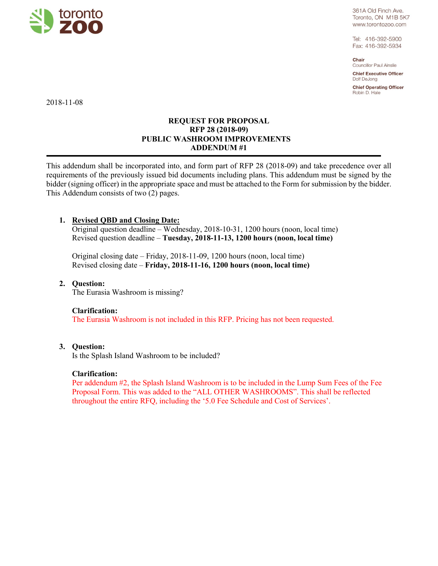

361A Old Finch Ave. Toronto, ON M1B 5K7 www.torontozoo.com

Tel: 416-392-5900 Fax: 416-392-5934

Chair Councillor Paul Ainslie

**Chief Executive Officer** Dolf DeJong

**Chief Operating Officer** Robin D. Hale

2018-11-08

## **REQUEST FOR PROPOSAL RFP 28 (2018-09) PUBLIC WASHROOM IMPROVEMENTS ADDENDUM #1**

This addendum shall be incorporated into, and form part of RFP 28 (2018-09) and take precedence over all requirements of the previously issued bid documents including plans. This addendum must be signed by the bidder (signing officer) in the appropriate space and must be attached to the Form for submission by the bidder. This Addendum consists of two (2) pages.

# **1. Revised QBD and Closing Date:**

Original question deadline – Wednesday, 2018-10-31, 1200 hours (noon, local time) Revised question deadline – **Tuesday, 2018-11-13, 1200 hours (noon, local time)** 

Original closing date – Friday, 2018-11-09, 1200 hours (noon, local time) Revised closing date – **Friday, 2018-11-16, 1200 hours (noon, local time)** 

### **2. Question:**

The Eurasia Washroom is missing?

#### **Clarification:**

The Eurasia Washroom is not included in this RFP. Pricing has not been requested.

#### **3. Question:**

Is the Splash Island Washroom to be included?

#### **Clarification:**

Per addendum #2, the Splash Island Washroom is to be included in the Lump Sum Fees of the Fee Proposal Form. This was added to the "ALL OTHER WASHROOMS". This shall be reflected throughout the entire RFQ, including the '5.0 Fee Schedule and Cost of Services'.